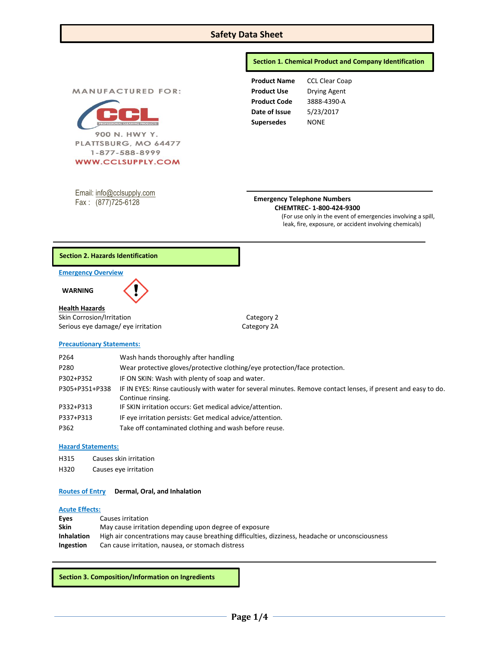# **Safety Data Sheet**

# **Section 1. Chemical Product and Company Identification**

**MANUFACTURED FOR:** 



| <b>Product Name</b> | <b>CCL Clear Coap</b> |  |  |
|---------------------|-----------------------|--|--|
| <b>Product Use</b>  | <b>Drying Agent</b>   |  |  |
| <b>Product Code</b> | 3888-4390-A           |  |  |
| Date of Issue       | 5/23/2017             |  |  |
| <b>Supersedes</b>   | <b>NONE</b>           |  |  |

# Email: [info@cclsupply.com](mailto:info@cclsupply.com) Fax : (877)725-6128

### **Emergency Telephone Numbers CHEMTREC- 1-800-424-9300**

(For use only in the event of emergencies involving a spill, leak, fire, exposure, or accident involving chemicals)

# **Section 2. Hazards Identification**

#### **Emergency Overview**

 **WARNING** 

# **Health Hazards**

Skin Corrosion/Irritation Category 2 Serious eye damage/ eye irritation example of the Category 2A

### **Precautionary Statements:**

| P264           | Wash hands thoroughly after handling                                                                                                |
|----------------|-------------------------------------------------------------------------------------------------------------------------------------|
| P280           | Wear protective gloves/protective clothing/eye protection/face protection.                                                          |
| P302+P352      | IF ON SKIN: Wash with plenty of soap and water.                                                                                     |
| P305+P351+P338 | IF IN EYES: Rinse cautiously with water for several minutes. Remove contact lenses, if present and easy to do.<br>Continue rinsing. |
| P332+P313      | IF SKIN irritation occurs: Get medical advice/attention.                                                                            |
| P337+P313      | IF eye irritation persists: Get medical advice/attention.                                                                           |
| P362           | Take off contaminated clothing and wash before reuse.                                                                               |

### **Hazard Statements:**

- H315 Causes skin irritation
- H320 Causes eye irritation

### **Routes of Entry Dermal, Oral, and Inhalation**

#### **Acute Effects:**

| Eves              | Causes irritation                                                                                |
|-------------------|--------------------------------------------------------------------------------------------------|
| <b>Skin</b>       | May cause irritation depending upon degree of exposure                                           |
| <b>Inhalation</b> | High air concentrations may cause breathing difficulties, dizziness, headache or unconsciousness |
| <b>Ingestion</b>  | Can cause irritation, nausea, or stomach distress                                                |
|                   |                                                                                                  |

**Section 3. Composition/Information on Ingredients**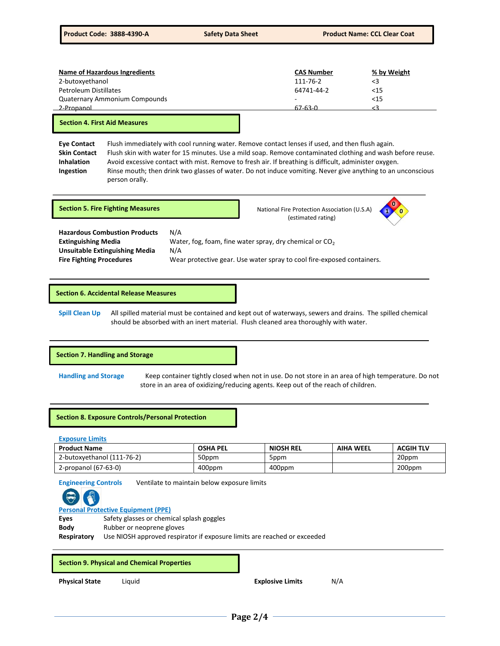| Name of Hazardous Ingredients | <b>CAS Number</b> | % by Weight |
|-------------------------------|-------------------|-------------|
| 2-butoxyethanol               | 111-76-2          |             |
| Petroleum Distillates         | 64741-44-2        | <15         |
| Quaternary Ammonium Compounds |                   | <15         |
| 2-Propanol                    | 67-63-0           |             |

### **Section 4. First Aid Measures**

**Eye Contact** Flush immediately with cool running water. Remove contact lenses if used, and then flush again. **Skin Contact** Flush skin with water for 15 minutes. Use a mild soap. Remove contaminated clothing and wash before reuse. **Inhalation** Avoid excessive contact with mist. Remove to fresh air. If breathing is difficult, administer oxygen. **Ingestion** Rinse mouth; then drink two glasses of water. Do not induce vomiting. Never give anything to an unconscious person orally.

**Section 5. Fire Fighting Measures National Fire Protection Association (U.S.A)** National Fire Protection Association (U.S.A) (estimated rating)



**Hazardous Combustion Products** N/A **Unsuitable Extinguishing Media** N/A

**Extinguishing Media Water, fog, foam, fine water spray, dry chemical or CO<sub>2</sub> Fire Fighting Procedures** Wear protective gear. Use water spray to cool fire-exposed containers.

**Section 6. Accidental Release Measures**

**Spill Clean Up** All spilled material must be contained and kept out of waterways, sewers and drains. The spilled chemical should be absorbed with an inert material. Flush cleaned area thoroughly with water.

#### **Section 7. Handling and Storage**

**Handling and Storage** Keep container tightly closed when not in use. Do not store in an area of high temperature. Do not store in an area of oxidizing/reducing agents. Keep out of the reach of children.

### **Section 8. Exposure Controls/Personal Protection**

#### **Exposure Limits**

| <b>Product Name</b>        | <b>OSHA PEL</b> | <b>NIOSH REL</b> | <b>AIHA WEEL</b> | <b>ACGIH TLV</b> |
|----------------------------|-----------------|------------------|------------------|------------------|
| 2-butoxvethanol (111-76-2) | 50ppm           | 5ppm             |                  | 20ppm            |
| 2-propanol (67-63-0)       | 400ppm          | 400ppm           |                  | 200ppm           |

**Engineering Controls** Ventilate to maintain below exposure limits



**Section 9. Physical and Chemical Properties**

**Physical State** Liquid **Explosive Limits** N/A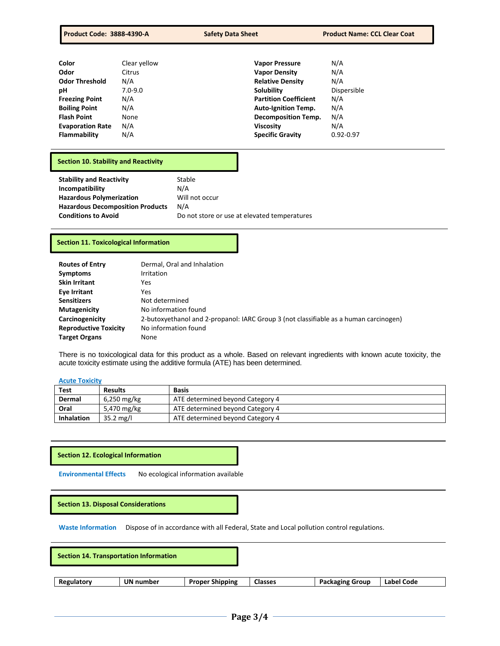**Product Code: 3888-4390-A** Safety Data Sheet **Product Name: CCL Clear Coat** 

| Color                   | Clear yellow | <b>Vapor Pressure</b>        | N/A           |
|-------------------------|--------------|------------------------------|---------------|
| Odor                    | Citrus       | <b>Vapor Density</b>         | N/A           |
| <b>Odor Threshold</b>   | N/A          | <b>Relative Density</b>      | N/A           |
| рH                      | $7.0 - 9.0$  | Solubility                   | Dispersible   |
| <b>Freezing Point</b>   | N/A          | <b>Partition Coefficient</b> | N/A           |
| <b>Boiling Point</b>    | N/A          | <b>Auto-Ignition Temp.</b>   | N/A           |
| <b>Flash Point</b>      | None         | <b>Decomposition Temp.</b>   | N/A           |
| <b>Evaporation Rate</b> | N/A          | <b>Viscosity</b>             | N/A           |
| Flammability            | N/A          | <b>Specific Gravity</b>      | $0.92 - 0.97$ |

# **Section 10. Stability and Reactivity**

| <b>Stability and Reactivity</b>         | Stable                                       |
|-----------------------------------------|----------------------------------------------|
| Incompatibility                         | N/A                                          |
| <b>Hazardous Polymerization</b>         | Will not occur                               |
| <b>Hazardous Decomposition Products</b> | N/A                                          |
| <b>Conditions to Avoid</b>              | Do not store or use at elevated temperatures |

# **Section 11. Toxicological Information**

| <b>Routes of Entry</b><br><b>Symptoms</b> | Dermal, Oral and Inhalation<br>Irritation                                             |
|-------------------------------------------|---------------------------------------------------------------------------------------|
| <b>Skin Irritant</b>                      | Yes                                                                                   |
| Eye Irritant                              | <b>Yes</b>                                                                            |
| <b>Sensitizers</b>                        | Not determined                                                                        |
| <b>Mutagenicity</b>                       | No information found                                                                  |
| Carcinogenicity                           | 2-butoxyethanol and 2-propanol: IARC Group 3 (not classifiable as a human carcinogen) |
| <b>Reproductive Toxicity</b>              | No information found                                                                  |
| <b>Target Organs</b>                      | None                                                                                  |

There is no toxicological data for this product as a whole. Based on relevant ingredients with known acute toxicity, the acute toxicity estimate using the additive formula (ATE) has been determined.

# **Acute Toxicity**

| Test              | <b>Results</b>      | <b>Basis</b>                     |
|-------------------|---------------------|----------------------------------|
| Dermal            | 6,250 mg/kg         | ATE determined beyond Category 4 |
| Oral              | 5,470 mg/kg         | ATE determined beyond Category 4 |
| <b>Inhalation</b> | $35.2 \text{ mg/l}$ | ATE determined beyond Category 4 |

# **Section 12. Ecological Information**

**Environmental Effects** No ecological information available

**Section 13. Disposal Considerations** 

**Waste Information** Dispose of in accordance with all Federal, State and Local pollution control regulations.

| Section 14. Transportation Information |           |                        |                |                        |            |
|----------------------------------------|-----------|------------------------|----------------|------------------------|------------|
|                                        |           |                        |                |                        |            |
| Regulatory                             | UN number | <b>Proper Shipping</b> | <b>Classes</b> | <b>Packaging Group</b> | Label Code |